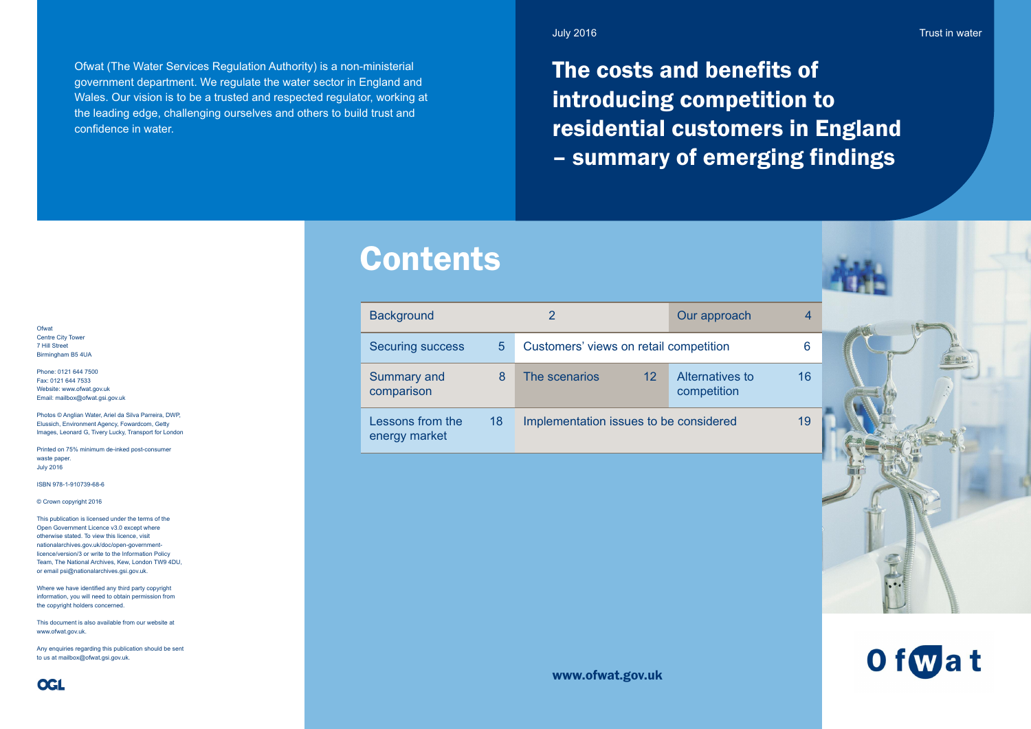Ofwat (The Water Services Regulation Authority) is a non-ministerial government department. We regulate the water sector in England and Wales. Our vision is to be a trusted and respected regulator, working at the leading edge, challenging ourselves and others to build trust and confidence in water.

**Ofwat** Centre City Tower 7 Hill Street Birmingham B5 4UA

Phone: 0121 644 7500 Fax: 0121 644 7533 Website: www.ofwat.gov.uk Email: mailbox@ofwat.gsi.gov.uk

Photos © Anglian Water, Ariel da Silva Parreira, DWP, Elussich, Environment Agency, Fowardcom, Getty Images, Leonard G, Tivery Lucky, Transport for London

Printed on 75% minimum de-inked post-consumer waste paper July 2016

ISBN 978-1-910739-68-6

© Crown copyright 2016

This publication is licensed under the terms of the Open Government Licence v3.0 except where otherwise stated. To view this licence, visit nationalarchives.gov.uk/doc/open-governmentlicence/version/3 or write to the Information Policy Team, The National Archives, Kew, London TW9 4DU, or email psi@nationalarchives.gsi.gov.uk.

Where we have identified any third party copyright information, you will need to obtain permission from the copyright holders concerned.

This document is also available from our website at www.ofwat.gov.uk.

Any enquiries regarding this publication should be sent to us at mailbox@ofwat.gsi.gov.uk.

www.ofwat.gov.uk

# Contents

The costs and benefits of introducing competition to residential customers in England – summary of emerging findings

Trust in water





| <b>Background</b>                 |    | $\overline{2}$                         | Our approach                          | 4  |
|-----------------------------------|----|----------------------------------------|---------------------------------------|----|
| <b>Securing success</b>           | 5  | Customers' views on retail competition |                                       | 6  |
| <b>Summary and</b><br>comparison  | 8  | The scenarios<br>$12 \overline{ }$     | <b>Alternatives to</b><br>competition | 16 |
| Lessons from the<br>energy market | 18 | Implementation issues to be considered |                                       | 19 |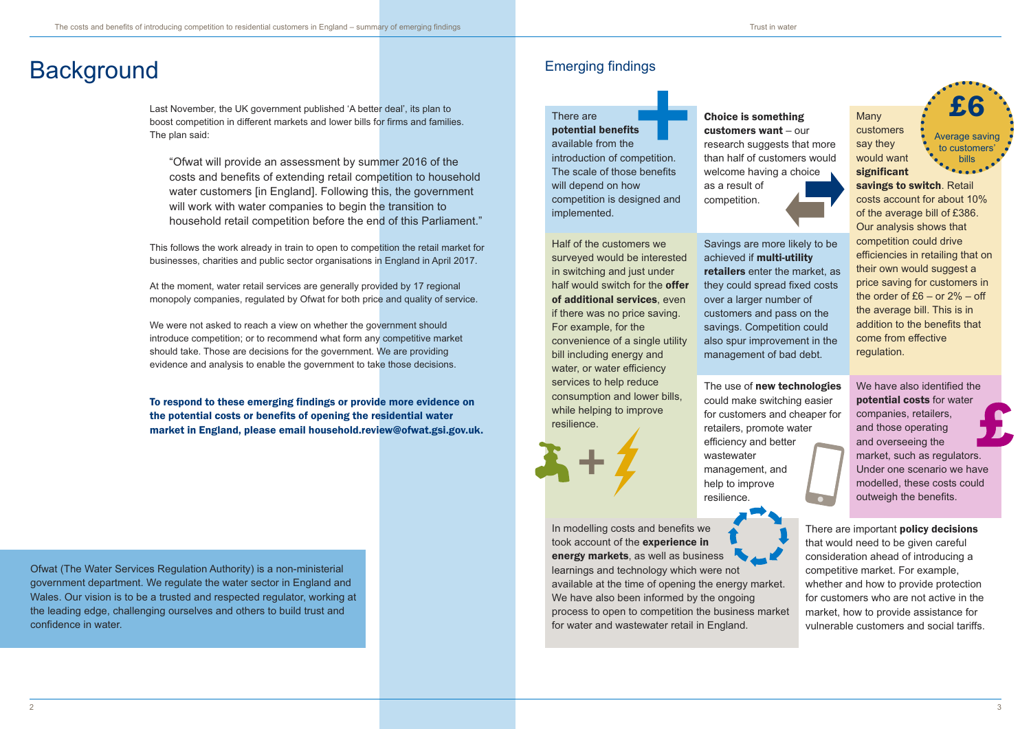### There are potential benefits

available from the introduction of competition. The scale of those benefits will depend on how competition is designed and implemented.





**Many** customers say they would want significant

customers want – our research suggests that more than half of customers would welcome having a choice as a result of competition.

savings to switch. Retail costs account for about 10% of the average bill of £386. Our analysis shows that competition could drive efficiencies in retailing that on their own would suggest a price saving for customers in the order of £6 – or 2% – off the average bill. This is in addition to the benefits that come from effective regulation.

We have also identified the potential costs for water companies, retailers, and those operating and overseeing the market, such as regulators. Under one scenario we have modelled, these costs could outweigh the benefits.



Half of the customers we surveyed would be interested in switching and just under half would switch for the **offer** of additional services, even if there was no price saving. For example, for the convenience of a single utility bill including energy and water, or water efficiency services to help reduce consumption and lower bills, while helping to improve resilience.



There are important **policy decisions** that would need to be given careful consideration ahead of introducing a competitive market. For example, whether and how to provide protection for customers who are not active in the market, how to provide assistance for vulnerable customers and social tariffs.

Savings are more likely to be achieved if multi-utility retailers enter the market, as they could spread fixed costs over a larger number of customers and pass on the savings. Competition could also spur improvement in the management of bad debt.

The use of new technologies could make switching easier for customers and cheaper for retailers, promote water efficiency and better wastewater management, and help to improve resilience.

In modelling costs and benefits we took account of the experience in energy markets, as well as business learnings and technology which were not

available at the time of opening the energy market. We have also been informed by the ongoing process to open to competition the business market for water and wastewater retail in England.

# Background Emerging findings

Last November, the UK government published 'A better deal', its plan to boost competition in different markets and lower bills for firms and families. The plan said:

"Ofwat will provide an assessment by summer 2016 of the costs and benefits of extending retail competition to household water customers [in England]. Following this, the government will work with water companies to begin the transition to household retail competition before the end of this Parliament."

This follows the work already in train to open to competition the retail market for businesses, charities and public sector organisations in England in April 2017.

At the moment, water retail services are generally provided by 17 regional monopoly companies, regulated by Ofwat for both price and quality of service.

We were not asked to reach a view on whether the government should introduce competition; or to recommend what form any competitive market should take. Those are decisions for the government. We are providing evidence and analysis to enable the government to take those decisions.

To respond to these emerging findings or provide more evidence on the potential costs or benefits of opening the residential water market in England, please email household.review@ofwat.gsi.gov.uk. £6

Average saving to customers' bills

Ofwat (The Water Services Regulation Authority) is a non-ministerial government department. We regulate the water sector in England and Wales. Our vision is to be a trusted and respected regulator, working at the leading edge, challenging ourselves and others to build trust and confidence in water.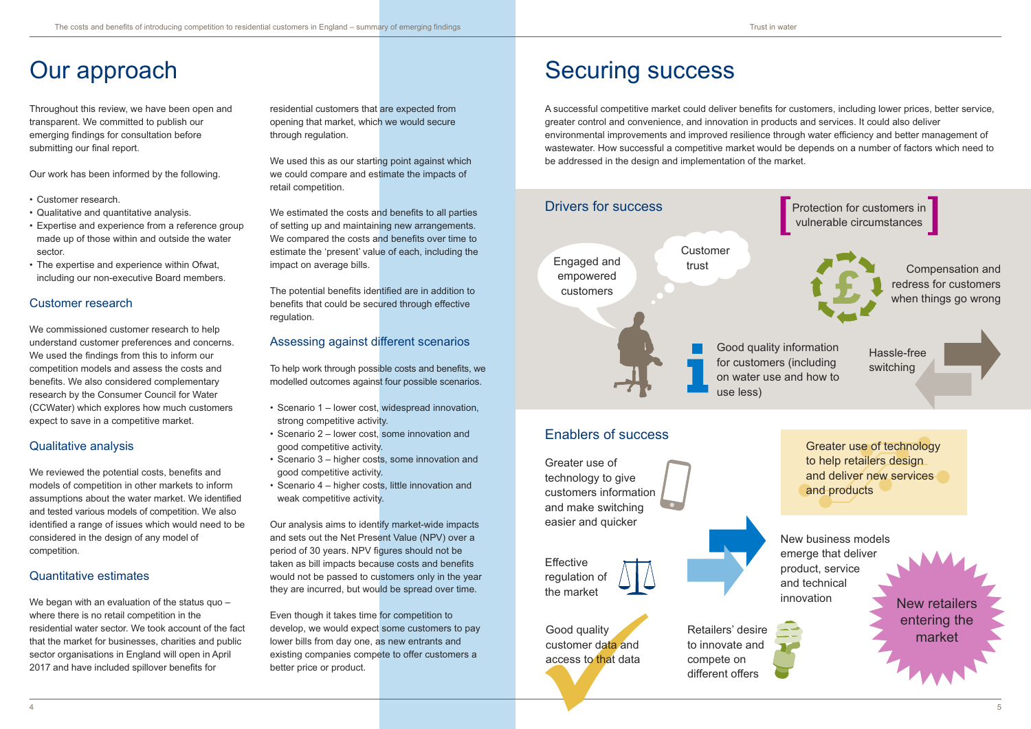Throughout this review, we have been open and transparent. We committed to publish our emerging findings for consultation before submitting our final report.

Our work has been informed by the following.

- Customer research.
- Qualitative and quantitative analysis.
- Expertise and experience from a reference group made up of those within and outside the water sector.
- The expertise and experience within Ofwat, including our non-executive Board members.

We commissioned customer research to help understand customer preferences and concerns. We used the findings from this to inform our competition models and assess the costs and benefits. We also considered complementary research by the Consumer Council for Water (CCWater) which explores how much customers expect to save in a competitive market.

### Customer research

We began with an evaluation of the status quo – where there is no retail competition in the residential water sector. We took account of the fact that the market for businesses, charities and public sector organisations in England will open in April 2017 and have included spillover benefits for

We used this as our starting point against which we could compare and estimate the impacts of retail competition.

### Qualitative analysis

We estimated the costs and benefits to all parties of setting up and maintaining new arrangements. We compared the costs and benefits over time to estimate the 'present' value of each, including the impact on average bills.

We reviewed the potential costs, benefits and models of competition in other markets to inform assumptions about the water market. We identified and tested various models of competition. We also identified a range of issues which would need to be considered in the design of any model of competition.

## Quantitative estimates

# Our approach

residential customers that are expected from opening that market, which we would secure through regulation.

The potential benefits identified are in addition to benefits that could be secured through effective regulation.

### Assessing against different scenarios

To help work through possible costs and benefits, we modelled outcomes against four possible scenarios.

- Scenario 1 lower cost, widespread innovation, strong competitive activity.
- Scenario 2 lower cost, some innovation and good competitive activity.
- Scenario 3 higher costs, some innovation and good competitive activity.
- Scenario 4 higher costs, little innovation and weak competitive activity.

Our analysis aims to identify market-wide impacts and sets out the Net Present Value (NPV) over a period of 30 years. NPV figures should not be taken as bill impacts because costs and benefits would not be passed to customers only in the year they are incurred, but would be spread over time.

Even though it takes time for competition to develop, we would expect some customers to pay lower bills from day one, as new entrants and existing companies compete to offer customers a better price or product.

# Securing success

A successful competitive market could deliver benefits for customers, including lower prices, better service, greater control and convenience, and innovation in products and services. It could also deliver environmental improvements and improved resilience through water efficiency and better management of wastewater. How successful a competitive market would be depends on a number of factors which need to be addressed in the design and implementation of the market.



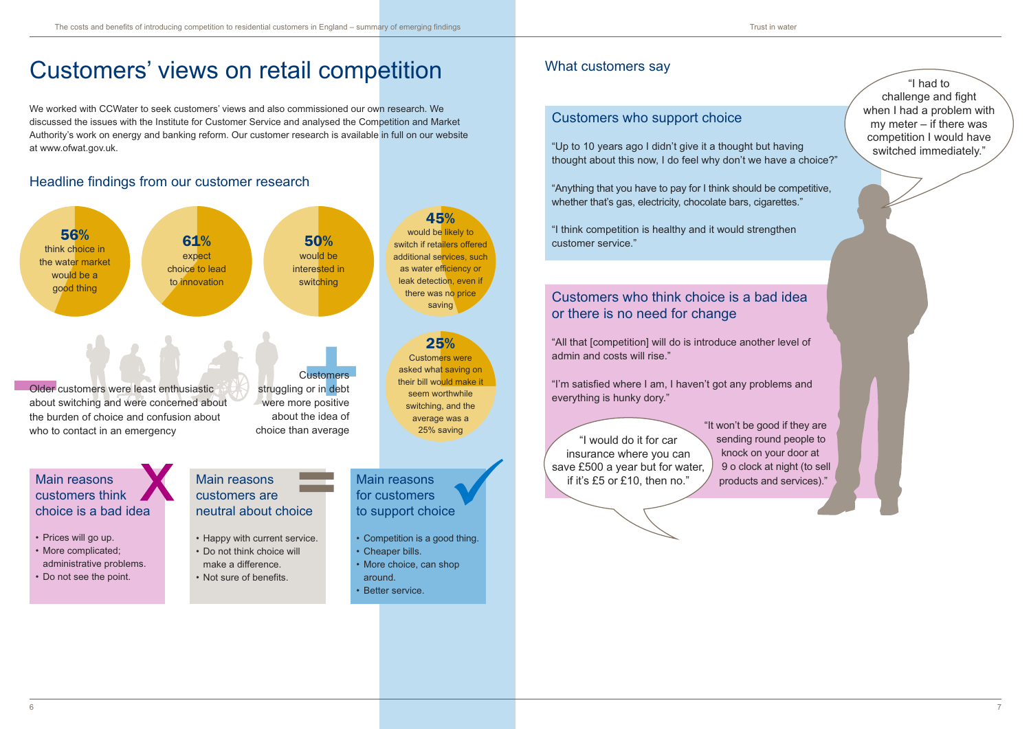- Competition is a good thing.
- Cheaper bills.
- More choice, can shop
- around.
	- Better service.
- More complicated; administrative problems.
- Do not see the point.
- Happy with current service.
- Do not think choice will make a difference.
- Not sure of benefits.

# Customers' views on retail competition

We worked with CCWater to seek customers' views and also commissioned our own research. We discussed the issues with the Institute for Customer Service and analysed the Competition and Market Authority's work on energy and banking reform. Our customer research is available in full on our website at www.ofwat.gov.uk.

> "Anything that you have to pay for I think should be competitive, whether that's gas, electricity, chocolate bars, cigarettes."

## Customers who think choice is a bad idea or there is no need for change

"All that [competition] will do is introduce another level of admin and costs will rise."

"I'm satisfied where I am, I haven't got any problems and everything is hunky dory."



sending round people to knock on your door at 9 o clock at night (to sell products and services)."

## Headline findings from our customer research

### What customers say

### Customers who support choice

"Up to 10 years ago I didn't give it a thought but having thought about this now, I do feel why don't we have a choice?"



"I think competition is healthy and it would strengthen customer service."

# would be likely to switch if retailers offered additional services, such as water efficiency or leak detection, even if

asked what saving on their bill would make it seem worthwhile switching, and the average was a 25% saving

## "I would do it for car insurance where you can save £500 a year but for water, if it's £5 or £10, then no."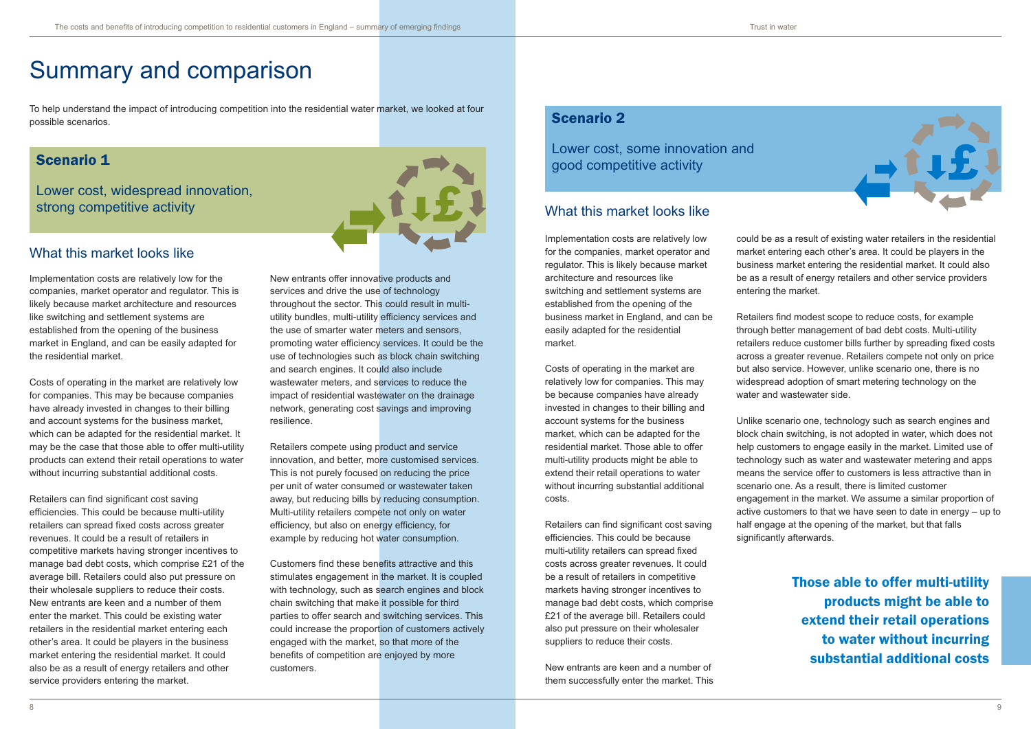### Scenario 2

Lower cost, some innovation and good competitive activity



# Summary and comparison

To help understand the impact of introducing competition into the residential water market, we looked at four possible scenarios.

> could be as a result of existing water retailers in the residential market entering each other's area. It could be players in the business market entering the residential market. It could also be as a result of energy retailers and other service providers entering the market.

> Retailers find modest scope to reduce costs, for example through better management of bad debt costs. Multi-utility retailers reduce customer bills further by spreading fixed costs across a greater revenue. Retailers compete not only on price but also service. However, unlike scenario one, there is no widespread adoption of smart metering technology on the water and wastewater side.

Unlike scenario one, technology such as search engines and block chain switching, is not adopted in water, which does not help customers to engage easily in the market. Limited use of technology such as water and wastewater metering and apps means the service offer to customers is less attractive than in scenario one. As a result, there is limited customer engagement in the market. We assume a similar proportion of active customers to that we have seen to date in energy – up to half engage at the opening of the market, but that falls significantly afterwards.

## Scenario 1

Lower cost, widespread innovation, strong competitive activity



### What this market looks like

New entrants offer innovative products and services and drive the use of technology throughout the sector. This could result in multiutility bundles, multi-utility efficiency services and the use of smarter water meters and sensors, promoting water efficiency services. It could be the use of technologies such as block chain switching and search engines. It could also include wastewater meters, and services to reduce the impact of residential wastewater on the drainage network, generating cost savings and improving resilience.

Retailers compete using product and service innovation, and better, more customised services. This is not purely focused on reducing the price per unit of water consumed or wastewater taken away, but reducing bills by reducing consumption. Multi-utility retailers compete not only on water efficiency, but also on energy efficiency, for example by reducing hot water consumption.

Customers find these benefits attractive and this stimulates engagement in the market. It is coupled with technology, such as search engines and block chain switching that make it possible for third parties to offer search and switching services. This could increase the proportion of customers actively engaged with the market, so that more of the benefits of competition are enjoyed by more customers.

Implementation costs are relatively low for the companies, market operator and regulator. This is likely because market architecture and resources like switching and settlement systems are established from the opening of the business market in England, and can be easily adapted for the residential market.

Costs of operating in the market are relatively low for companies. This may be because companies have already invested in changes to their billing and account systems for the business market, which can be adapted for the residential market. It may be the case that those able to offer multi-utility products can extend their retail operations to water without incurring substantial additional costs.

Retailers can find significant cost saving efficiencies. This could be because multi-utility retailers can spread fixed costs across greater revenues. It could be a result of retailers in competitive markets having stronger incentives to manage bad debt costs, which comprise £21 of the average bill. Retailers could also put pressure on their wholesale suppliers to reduce their costs. New entrants are keen and a number of them enter the market. This could be existing water retailers in the residential market entering each other's area. It could be players in the business market entering the residential market. It could also be as a result of energy retailers and other service providers entering the market.

Implementation costs are relatively low for the companies, market operator and regulator. This is likely because market architecture and resources like switching and settlement systems are established from the opening of the business market in England, and can be easily adapted for the residential market.

Costs of operating in the market are relatively low for companies. This may be because companies have already invested in changes to their billing and account systems for the business market, which can be adapted for the residential market. Those able to offer multi-utility products might be able to extend their retail operations to water without incurring substantial additional costs.

Retailers can find significant cost saving efficiencies. This could be because multi-utility retailers can spread fixed costs across greater revenues. It could be a result of retailers in competitive markets having stronger incentives to manage bad debt costs, which comprise £21 of the average bill. Retailers could also put pressure on their wholesaler suppliers to reduce their costs.

New entrants are keen and a number of them successfully enter the market. This

### What this market looks like

Those able to offer multi-utility products might be able to extend their retail operations to water without incurring substantial additional costs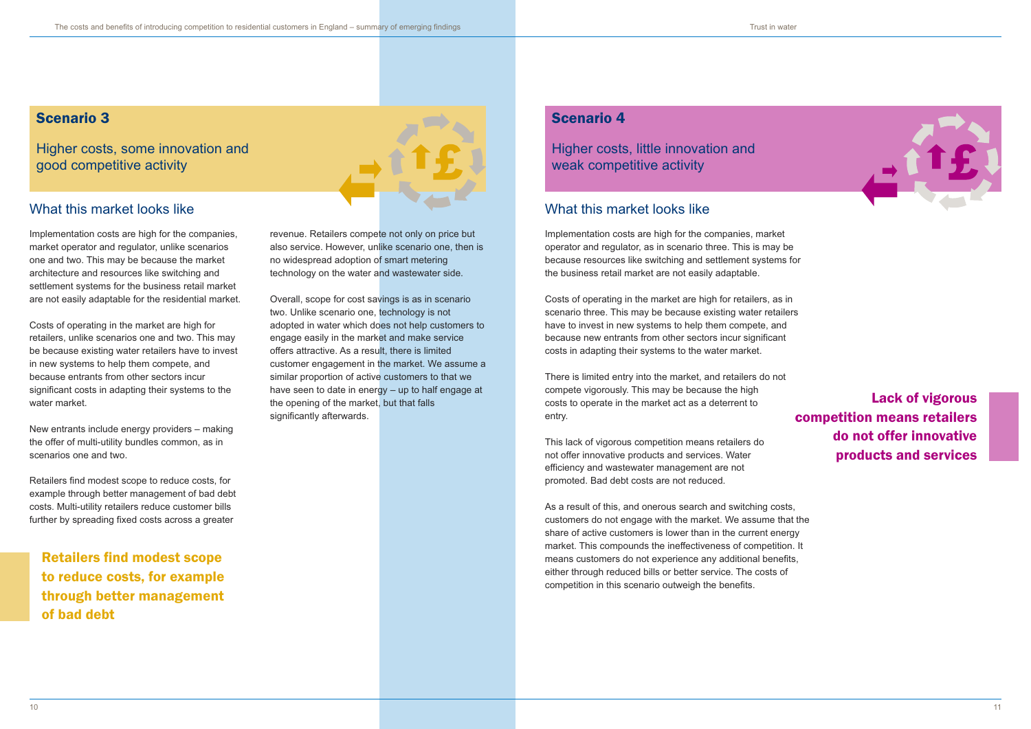## Scenario 4

Higher costs, little innovation and weak competitive activity

# Scenario 3

Higher costs, some innovation and good competitive activity



Implementation costs are high for the companies, market operator and regulator, unlike scenarios one and two. This may be because the market architecture and resources like switching and settlement systems for the business retail market are not easily adaptable for the residential market.

Costs of operating in the market are high for retailers, unlike scenarios one and two. This may be because existing water retailers have to invest in new systems to help them compete, and because entrants from other sectors incur significant costs in adapting their systems to the water market.

New entrants include energy providers – making the offer of multi-utility bundles common, as in scenarios one and two.

Retailers find modest scope to reduce costs, for example through better management of bad debt costs. Multi-utility retailers reduce customer bills further by spreading fixed costs across a greater

Implementation costs are high for the companies, market operator and regulator, as in scenario three. This is may be because resources like switching and settlement systems for the business retail market are not easily adaptable.

Costs of operating in the market are high for retailers, as in scenario three. This may be because existing water retailers have to invest in new systems to help them compete, and because new entrants from other sectors incur significant costs in adapting their systems to the water market.

There is limited entry into the market, and retailers do not compete vigorously. This may be because the high costs to operate in the market act as a deterrent to entry.

This lack of vigorous competition means retailers do not offer innovative products and services. Water efficiency and wastewater management are not promoted. Bad debt costs are not reduced.

As a result of this, and onerous search and switching costs, customers do not engage with the market. We assume that the share of active customers is lower than in the current energy market. This compounds the ineffectiveness of competition. It means customers do not experience any additional benefits, either through reduced bills or better service. The costs of competition in this scenario outweigh the benefits.

Lack of vigorous competition means retailers do not offer innovative products and services

Retailers find modest scope to reduce costs, for example through better management of bad debt

## What this market looks like

revenue. Retailers compete not only on price but also service. However, unlike scenario one, then is no widespread adoption of smart metering technology on the water and wastewater side.

Overall, scope for cost savings is as in scenario two. Unlike scenario one, technology is not adopted in water which does not help customers to engage easily in the market and make service offers attractive. As a result, there is limited customer engagement in the market. We assume a similar proportion of active customers to that we have seen to date in energy – up to half engage at the opening of the market, but that falls significantly afterwards.

## What this market looks like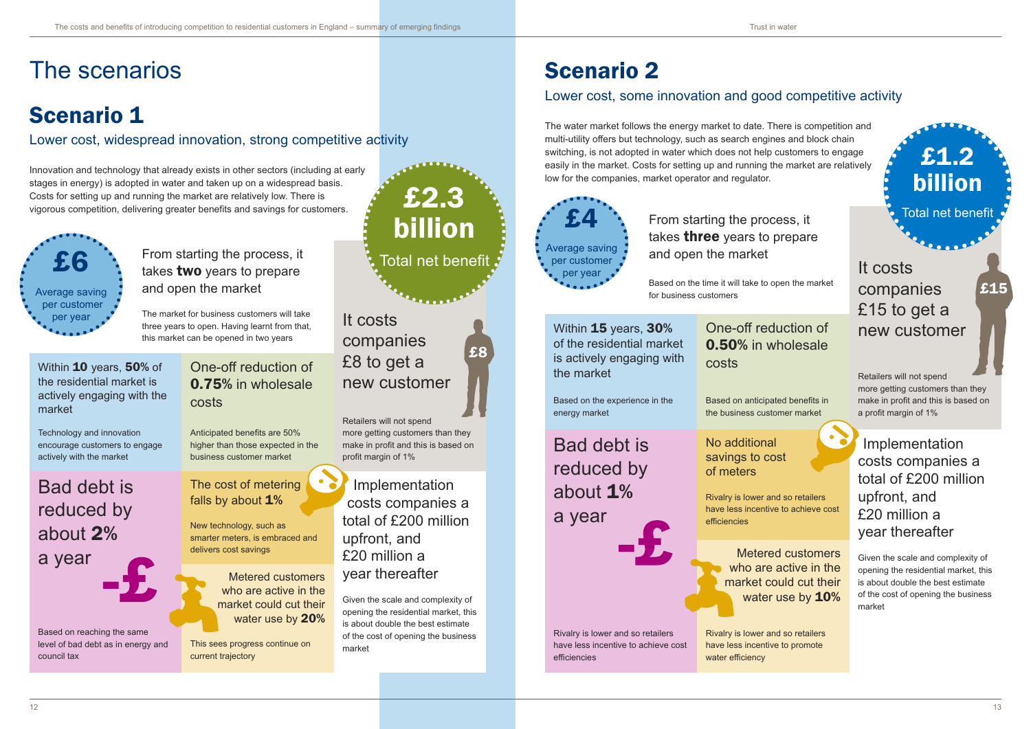Based on the time it will take to open the market for business customers

It costs companies £15 to get a new customer

Within **15** years, 30% of the residential market is actively engaging with the market

Retailers will not spend more getting customers than they make in profit and this is based on a profit margin of 1%

Based on the experience in the energy market

One-off reduction of 0.50% in wholesale costs

Based on anticipated benefits in the business customer market

> Metered customers who are active in the market could cut their water use by **10%**

Rivalry is lower and so retailers have less incentive to promote water efficiency

Bad debt is reduced by about 1% a year

Rivalry is lower and so retailers

have less incentive to achieve cost

efficiencies

No additional

### savings to cost

of meters

Rivalry is lower and so retailers have less incentive to achieve cost

efficiencies

Implementation costs companies a total of £200 million upfront, and £20 million a year thereafter

Within 10 years, 50% of the residential market is actively engaging with the market

> Given the scale and complexity of opening the residential market, this is about double the best estimate of the cost of opening the business market

### The cost of metering falls by about 1%

£15

# Scenario 1

Lower cost, widespread innovation, strong competitive activity

# Scenario 2

# Lower cost, some innovation and good competitive activity

From starting the process, it  $E6$  Total net benefit takes two years to prepare and open the market

> The market for business customers will take three years to open. Having learnt from that, this market can be opened in two years

# It costs companies £8 to get a new customer

Retailers will not spend more getting customers than they make in profit and this is based on profit margin of 1%

Technology and innovation encourage customers to engage actively with the market

One-off reduction of 0.75% in wholesale costs

Anticipated benefits are 50% higher than those expected in the business customer market

Bad debt is reduced by about 2%

a year

Based on reaching the same level of bad debt as in energy and council tax

New technology, such as smarter meters, is embraced and delivers cost savings

## Implementation costs companies a total of £200 million upfront, and £20 million a year thereafter

Given the scale and complexity of opening the residential market, this is about double the best estimate of the cost of opening the business market

Metered customers who are active in the market could cut their water use by 20%

This sees progress continue on current trajectory

£8

Innovation and technology that already exists in other sectors (including at early stages in energy) is adopted in water and taken up on a widespread basis. Costs for setting up and running the market are relatively low. There is vigorous competition, delivering greater benefits and savings for customers.

# The scenarios

# £2.3 billion



The water market follows the energy market to date. There is competition and multi-utility offers but technology, such as search engines and block chain switching, is not adopted in water which does not help customers to engage easily in the market. Costs for setting up and running the market are relatively low for the companies, market operator and regulator.

£1.2

billion



### From starting the process, it takes **three** years to prepare and open the market  $E4$  From starting the process, it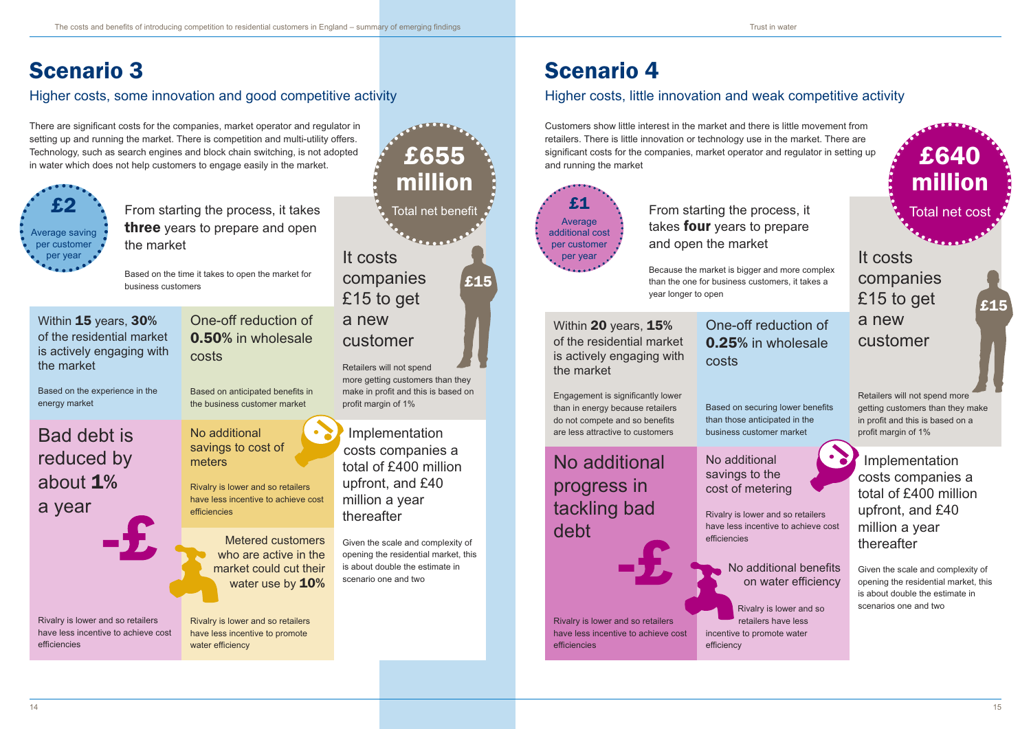# Scenario 3

# Higher costs, some innovation and good competitive activity

# Scenario 4

# Higher costs, little innovation and weak competitive activity

Retailers will not spend more getting customers than they make in profit and this is based on profit margin of 1%

There are significant costs for the companies, market operator and regulator in setting up and running the market. There is competition and multi-utility offers. Technology, such as search engines and block chain switching, is not adopted<br>in water which does not help customers to engage easily in the market.

# **£1** From starting the process, it takes **four** years to prepare and open the market



# It costs companies £15 to get customer million

Implementation costs companies a total of £400 million upfront, and £40 million a year thereafter

Within 20 years, 15% of the residential market is actively engaging with the market

Given the scale and complexity of opening the residential market, this is about double the estimate in scenario one and two

£15

Because the market is bigger and more complex than the one for business customers, it takes a year longer to open

It costs companies £15 to get a new customer

Retailers will not spend more getting customers than they make in profit and this is based on a profit margin of 1%

Engagement is significantly lower than in energy because retailers do not compete and so benefits are less attractive to customers

## One-off reduction of 0.25% in wholesale costs

# Based on securing lower benefits

than those anticipated in the

business customer market

# No additional progress in tackling bad debt



Rivalry is lower and so retailers have less incentive to achieve cost efficiencies

### No additional savings to the cost of metering

Rivalry is lower and so retailers have less incentive to achieve cost efficiencies

Implementation costs companies a total of £400 million upfront, and £40 million a year thereafter

Given the scale and complexity of opening the residential market, this is about double the estimate in scenarios one and two

## No additional benefits on water efficiency

Rivalry is lower and so retailers have less incentive to promote water efficiency

£15

Customers show little interest in the market and there is little movement from retailers. There is little innovation or technology use in the market. There are significant costs for the companies, market operator and regulator in setting up and running the market £640

million

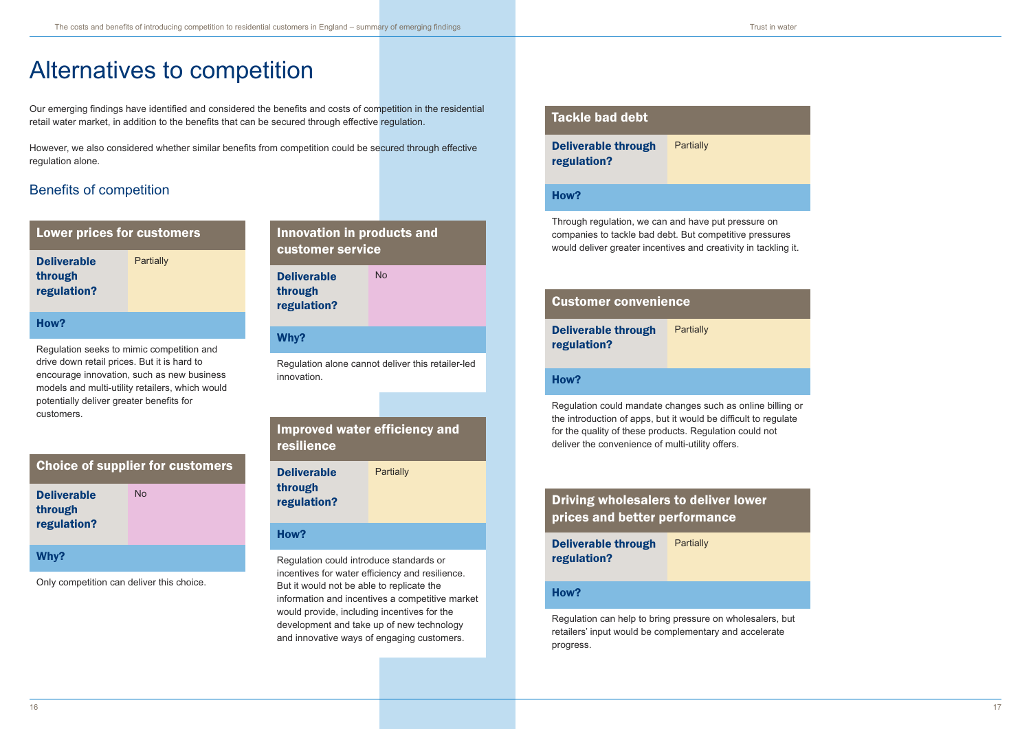



billing or



# Alternatives to competition

Our emerging findings have identified and considered the benefits and costs of competition in the residential retail water market, in addition to the benefits that can be secured through effective regulation.

**Deliverable** through regulation? **Partially** 

However, we also considered whether similar benefits from competition could be secured through effective regulation alone.

# Benefits of competition

| <b>Lower prices for customers</b> |
|-----------------------------------|
|-----------------------------------|

### How?

Regulation seeks to mimic competition and drive down retail prices. But it is hard to encourage innovation, such as new business models and multi-utility retailers, which would potentially deliver greater benefits for customers.

Deliverable through regulation? **Partially** 

| <b>Choice of supplier for customers</b>      |    |  |  |  |
|----------------------------------------------|----|--|--|--|
| <b>Deliverable</b><br>through<br>regulation? | Nο |  |  |  |
| Why?                                         |    |  |  |  |

Only competition can deliver this choice.

## Innovation in products and customer service

Deliverable through regulation? No

### Why?

Regulation alone cannot deliver this retailer-led innovation.

### Improved water efficiency and resilience

**Partially** 

Deliverable through regulation?

### How?

Regulation could introduce standards or incentives for water efficiency and resilience. But it would not be able to replicate the information and incentives a competitive market would provide, including incentives for the development and take up of new technology and innovative ways of engaging customers.

### Tackle bad debt

### How?

Through regulation, we can and have put pressure on companies to tackle bad debt. But competitive pressures would deliver greater incentives and creativity in tackling it.

| <b>Customer convenience</b>                       |           |  |  |
|---------------------------------------------------|-----------|--|--|
| <b>Deliverable through</b><br>regulation?         | Partially |  |  |
| How?                                              |           |  |  |
| Regulation could mandate changes such as online I |           |  |  |

the introduction of apps, but it would be difficult to regulate for the quality of these products. Regulation could not deliver the convenience of multi-utility offers.

## Driving wholesalers to deliver lower prices and better performance

| <b>Deliverable through</b> | Partially |
|----------------------------|-----------|
| regulation?                |           |

### How?

Regulation can help to bring pressure on wholesalers, but retailers' input would be complementary and accelerate progress.